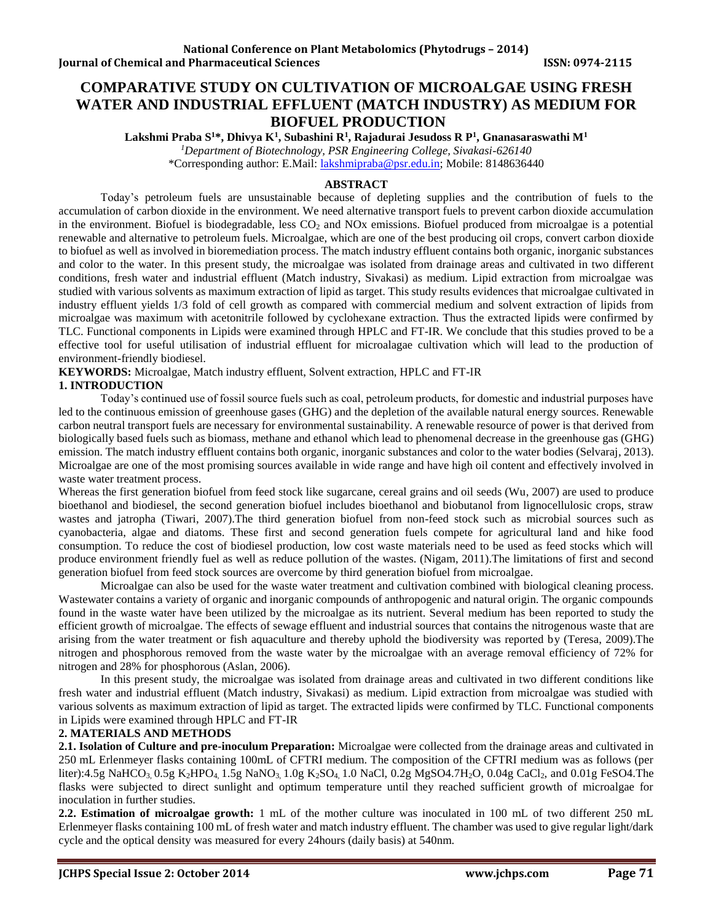# **COMPARATIVE STUDY ON CULTIVATION OF MICROALGAE USING FRESH WATER AND INDUSTRIAL EFFLUENT (MATCH INDUSTRY) AS MEDIUM FOR BIOFUEL PRODUCTION**

**Lakshmi Praba S<sup>1</sup>\*, Dhivya K<sup>1</sup> , Subashini R<sup>1</sup> , Rajadurai Jesudoss R P<sup>1</sup> , Gnanasaraswathi M<sup>1</sup>**

*<sup>1</sup>Department of Biotechnology, PSR Engineering College, Sivakasi-626140*

\*Corresponding author: E.Mail: [lakshmipraba@psr.edu.in;](mailto:lakshmipraba@psr.edu.in) Mobile: 8148636440

# **ABSTRACT**

Today's petroleum fuels are unsustainable because of depleting supplies and the contribution of fuels to the accumulation of carbon dioxide in the environment. We need alternative transport fuels to prevent carbon dioxide accumulation in the environment. Biofuel is biodegradable, less  $CO<sub>2</sub>$  and NOx emissions. Biofuel produced from microalgae is a potential renewable and alternative to petroleum fuels. Microalgae, which are one of the best producing oil crops, convert carbon dioxide to biofuel as well as involved in bioremediation process. The match industry effluent contains both organic, inorganic substances and color to the water. In this present study, the microalgae was isolated from drainage areas and cultivated in two different conditions, fresh water and industrial effluent (Match industry, Sivakasi) as medium. Lipid extraction from microalgae was studied with various solvents as maximum extraction of lipid as target. This study results evidences that microalgae cultivated in industry effluent yields 1/3 fold of cell growth as compared with commercial medium and solvent extraction of lipids from microalgae was maximum with acetonitrile followed by cyclohexane extraction. Thus the extracted lipids were confirmed by TLC. Functional components in Lipids were examined through HPLC and FT-IR. We conclude that this studies proved to be a effective tool for useful utilisation of industrial effluent for microalagae cultivation which will lead to the production of environment-friendly biodiesel.

**KEYWORDS:** Microalgae, Match industry effluent, Solvent extraction, HPLC and FT-IR

# **1. INTRODUCTION**

Today's continued use of fossil source fuels such as coal, petroleum products, for domestic and industrial purposes have led to the continuous emission of greenhouse gases (GHG) and the depletion of the available natural energy sources. Renewable carbon neutral transport fuels are necessary for environmental sustainability. A renewable resource of power is that derived from biologically based fuels such as biomass, methane and ethanol which lead to phenomenal decrease in the greenhouse gas (GHG) emission. The match industry effluent contains both organic, inorganic substances and color to the water bodies (Selvaraj, 2013). Microalgae are one of the most promising sources available in wide range and have high oil content and effectively involved in waste water treatment process.

Whereas the first generation biofuel from feed stock like sugarcane, cereal grains and oil seeds (Wu, 2007) are used to produce bioethanol and biodiesel, the second generation biofuel includes bioethanol and biobutanol from lignocellulosic crops, straw wastes and jatropha (Tiwari, 2007).The third generation biofuel from non-feed stock such as microbial sources such as cyanobacteria, algae and diatoms. These first and second generation fuels compete for agricultural land and hike food consumption. To reduce the cost of biodiesel production, low cost waste materials need to be used as feed stocks which will produce environment friendly fuel as well as reduce pollution of the wastes. (Nigam, 2011).The limitations of first and second generation biofuel from feed stock sources are overcome by third generation biofuel from microalgae.

Microalgae can also be used for the waste water treatment and cultivation combined with biological cleaning process. Wastewater contains a variety of organic and inorganic compounds of anthropogenic and natural origin. The organic compounds found in the waste water have been utilized by the microalgae as its nutrient. Several medium has been reported to study the efficient growth of microalgae. The effects of sewage effluent and industrial sources that contains the nitrogenous waste that are arising from the water treatment or fish aquaculture and thereby uphold the biodiversity was reported by (Teresa, 2009).The nitrogen and phosphorous removed from the waste water by the microalgae with an average removal efficiency of 72% for nitrogen and 28% for phosphorous (Aslan, 2006).

In this present study, the microalgae was isolated from drainage areas and cultivated in two different conditions like fresh water and industrial effluent (Match industry, Sivakasi) as medium. Lipid extraction from microalgae was studied with various solvents as maximum extraction of lipid as target. The extracted lipids were confirmed by TLC. Functional components in Lipids were examined through HPLC and FT-IR

# **2. MATERIALS AND METHODS**

**2.1. Isolation of Culture and pre-inoculum Preparation:** Microalgae were collected from the drainage areas and cultivated in 250 mL Erlenmeyer flasks containing 100mL of CFTRI medium. The composition of the CFTRI medium was as follows (per liter):4.5g NaHCO<sub>3</sub>, 0.5g K<sub>2</sub>HPO<sub>4</sub>, 1.5g NaNO<sub>3</sub>, 1.0g K<sub>2</sub>SO<sub>4</sub>, 1.0 NaCl, 0.2g MgSO4.7H<sub>2</sub>O, 0.04g CaCl<sub>2</sub>, and 0.01g FeSO4.The flasks were subjected to direct sunlight and optimum temperature until they reached sufficient growth of microalgae for inoculation in further studies.

**2.2. Estimation of microalgae growth:** 1 mL of the mother culture was inoculated in 100 mL of two different 250 mL Erlenmeyer flasks containing 100 mL of fresh water and match industry effluent. The chamber was used to give regular light/dark cycle and the optical density was measured for every 24hours (daily basis) at 540nm.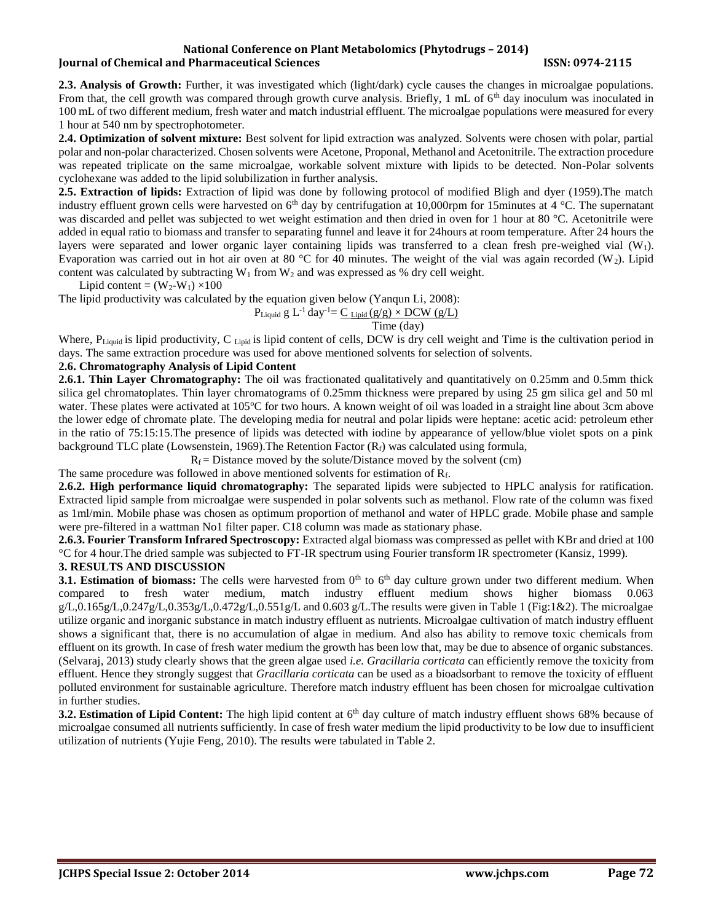#### **National Conference on Plant Metabolomics (Phytodrugs – 2014) Iournal of Chemical and Pharmaceutical Sciences ISSN: 0974-2115**

**2.3. Analysis of Growth:** Further, it was investigated which (light/dark) cycle causes the changes in microalgae populations. From that, the cell growth was compared through growth curve analysis. Briefly,  $1 \text{ mL of } 6^{\text{th}}$  day inoculum was inoculated in 100 mL of two different medium, fresh water and match industrial effluent. The microalgae populations were measured for every 1 hour at 540 nm by spectrophotometer.

**2.4. Optimization of solvent mixture:** Best solvent for lipid extraction was analyzed. Solvents were chosen with polar, partial polar and non-polar characterized. Chosen solvents were Acetone, Proponal, Methanol and Acetonitrile. The extraction procedure was repeated triplicate on the same microalgae, workable solvent mixture with lipids to be detected. Non-Polar solvents cyclohexane was added to the lipid solubilization in further analysis.

**2.5. Extraction of lipids:** Extraction of lipid was done by following protocol of modified Bligh and dyer (1959).The match industry effluent grown cells were harvested on  $6<sup>th</sup>$  day by centrifugation at 10,000rpm for 15minutes at 4 °C. The supernatant was discarded and pellet was subjected to wet weight estimation and then dried in oven for 1 hour at 80 °C. Acetonitrile were added in equal ratio to biomass and transfer to separating funnel and leave it for 24hours at room temperature. After 24 hours the layers were separated and lower organic layer containing lipids was transferred to a clean fresh pre-weighed vial (W1). Evaporation was carried out in hot air oven at 80 °C for 40 minutes. The weight of the vial was again recorded (W<sub>2</sub>). Lipid content was calculated by subtracting  $W_1$  from  $W_2$  and was expressed as % dry cell weight.

$$
Lipid content = (W_2-W_1) \times 100
$$

The lipid productivity was calculated by the equation given below (Yanqun Li, 2008):

$$
P_{\text{Liquid}}
$$
g L<sup>-1</sup> day<sup>-1</sup>= C<sub>Lipid</sub> (g/g) × DCW (g/L)

Time (day)

Where, P<sub>Liquid</sub> is lipid productivity, C <sub>Lipid</sub> is lipid content of cells, DCW is dry cell weight and Time is the cultivation period in days. The same extraction procedure was used for above mentioned solvents for selection of solvents.

# **2.6. Chromatography Analysis of Lipid Content**

**2.6.1. Thin Layer Chromatography:** The oil was fractionated qualitatively and quantitatively on 0.25mm and 0.5mm thick silica gel chromatoplates. Thin layer chromatograms of 0.25mm thickness were prepared by using 25 gm silica gel and 50 ml water. These plates were activated at 105°C for two hours. A known weight of oil was loaded in a straight line about 3cm above the lower edge of chromate plate. The developing media for neutral and polar lipids were heptane: acetic acid: petroleum ether in the ratio of 75:15:15.The presence of lipids was detected with iodine by appearance of yellow/blue violet spots on a pink background TLC plate (Lowsenstein, 1969). The Retention Factor  $(R_f)$  was calculated using formula,

 $R_f$  = Distance moved by the solute/Distance moved by the solvent (cm)

The same procedure was followed in above mentioned solvents for estimation of  $R_f$ .

**2.6.2. High performance liquid chromatography:** The separated lipids were subjected to HPLC analysis for ratification. Extracted lipid sample from microalgae were suspended in polar solvents such as methanol. Flow rate of the column was fixed as 1ml/min. Mobile phase was chosen as optimum proportion of methanol and water of HPLC grade. Mobile phase and sample were pre-filtered in a wattman No1 filter paper. C18 column was made as stationary phase.

**2.6.3. Fourier Transform Infrared Spectroscopy:** Extracted algal biomass was compressed as pellet with KBr and dried at 100 °C for 4 hour.The dried sample was subjected to FT-IR spectrum using Fourier transform IR spectrometer (Kansiz, 1999).

# **3. RESULTS AND DISCUSSION**

**3.1. Estimation of biomass:** The cells were harvested from 0<sup>th</sup> to 6<sup>th</sup> day culture grown under two different medium. When compared to fresh water medium, match industry effluent medium shows higher biomass 0.063 g/L,0.165g/L,0.247g/L,0.353g/L,0.472g/L,0.551g/L and 0.603 g/L.The results were given in Table 1 (Fig:1&2). The microalgae utilize organic and inorganic substance in match industry effluent as nutrients. Microalgae cultivation of match industry effluent shows a significant that, there is no accumulation of algae in medium. And also has ability to remove toxic chemicals from effluent on its growth. In case of fresh water medium the growth has been low that, may be due to absence of organic substances. (Selvaraj, 2013) study clearly shows that the green algae used *i.e. Gracillaria corticata* can efficiently remove the toxicity from effluent. Hence they strongly suggest that *Gracillaria corticata* can be used as a bioadsorbant to remove the toxicity of effluent polluted environment for sustainable agriculture. Therefore match industry effluent has been chosen for microalgae cultivation in further studies.

**3.2. Estimation of Lipid Content:** The high lipid content at 6<sup>th</sup> day culture of match industry effluent shows 68% because of microalgae consumed all nutrients sufficiently. In case of fresh water medium the lipid productivity to be low due to insufficient utilization of nutrients (Yujie Feng, 2010). The results were tabulated in Table 2.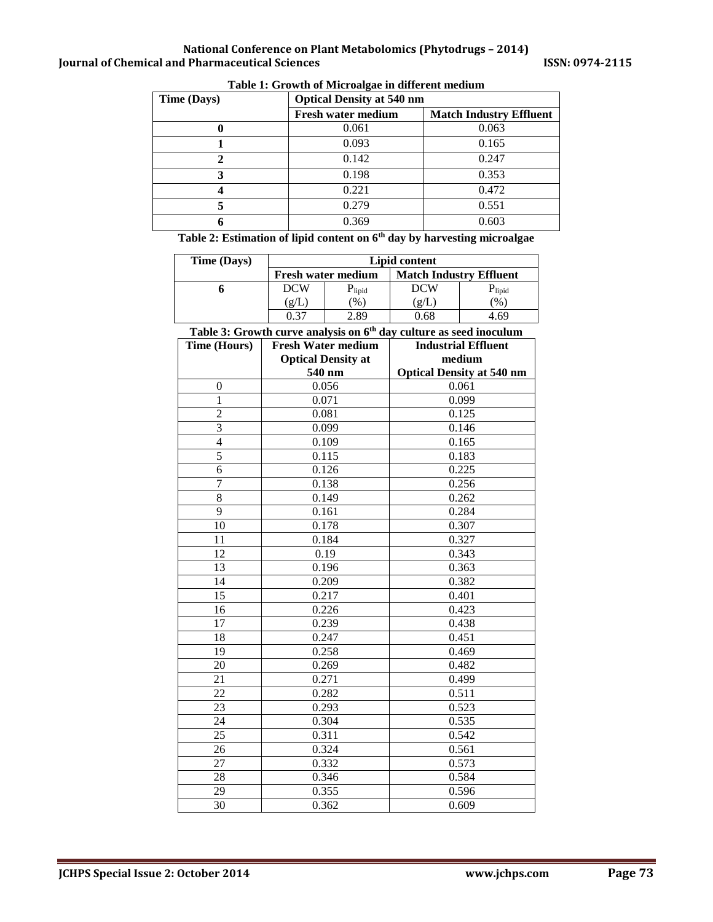| Time (Days) | <b>Optical Density at 540 nm</b> |                                |  |  |
|-------------|----------------------------------|--------------------------------|--|--|
|             | <b>Fresh water medium</b>        | <b>Match Industry Effluent</b> |  |  |
|             | 0.061                            | 0.063                          |  |  |
|             | 0.093                            | 0.165                          |  |  |
| $\mathbf 2$ | 0.142                            | 0.247                          |  |  |
| 3           | 0.198                            | 0.353                          |  |  |
|             | 0.221                            | 0.472                          |  |  |
| 5           | 0.279                            | 0.551                          |  |  |
| 6           | 0.369                            | 0.603                          |  |  |

**Table 1: Growth of Microalgae in different medium**

**Table 2: Estimation of lipid content on 6th day by harvesting microalgae**

| <b>Time (Days)</b>                                                             | <b>Lipid content</b> |                           |                                  |                                |  |  |
|--------------------------------------------------------------------------------|----------------------|---------------------------|----------------------------------|--------------------------------|--|--|
|                                                                                |                      | <b>Fresh water medium</b> |                                  | <b>Match Industry Effluent</b> |  |  |
| 6                                                                              | <b>DCW</b>           | $P_{lipid}$               | <b>DCW</b>                       | $P_{lipid}$                    |  |  |
|                                                                                | (g/L)                | (% )                      | (g/L)                            | (% )                           |  |  |
|                                                                                | 0.37                 | 2.89                      | 0.68                             | 4.69                           |  |  |
| Table 3: Growth curve analysis on 6 <sup>th</sup> day culture as seed inoculum |                      |                           |                                  |                                |  |  |
| <b>Time (Hours)</b>                                                            |                      | <b>Fresh Water medium</b> | <b>Industrial Effluent</b>       |                                |  |  |
|                                                                                |                      | <b>Optical Density at</b> | medium                           |                                |  |  |
|                                                                                |                      | 540 nm                    | <b>Optical Density at 540 nm</b> |                                |  |  |
| $\overline{0}$                                                                 |                      | 0.056                     | 0.061                            |                                |  |  |
| $\mathbf{1}$                                                                   |                      | 0.071                     | 0.099                            |                                |  |  |
| $\overline{2}$                                                                 |                      | 0.081                     |                                  | 0.125                          |  |  |
| 3                                                                              |                      | 0.099                     |                                  | 0.146                          |  |  |
| $\overline{4}$                                                                 |                      | 0.109                     |                                  | 0.165                          |  |  |
| $\overline{5}$                                                                 |                      | 0.115                     |                                  | 0.183                          |  |  |
| $\overline{6}$                                                                 |                      | 0.126                     |                                  | 0.225                          |  |  |
| $\overline{7}$                                                                 |                      | 0.138                     |                                  | 0.256                          |  |  |
| $\overline{8}$                                                                 |                      | 0.149                     |                                  | 0.262                          |  |  |
| $\overline{9}$                                                                 |                      | 0.161                     |                                  | 0.284                          |  |  |
| 10                                                                             |                      | 0.178                     |                                  | 0.307                          |  |  |
| 11                                                                             |                      | 0.184                     |                                  | 0.327                          |  |  |
| 12                                                                             |                      | 0.19                      |                                  | 0.343                          |  |  |
| 13                                                                             |                      | 0.196                     |                                  | 0.363                          |  |  |
| 14                                                                             |                      | 0.209                     |                                  | 0.382                          |  |  |
| $\overline{15}$                                                                |                      | 0.217                     |                                  | 0.401                          |  |  |
| 16                                                                             |                      | 0.226                     |                                  | 0.423                          |  |  |
| 17                                                                             |                      | 0.239                     |                                  | 0.438                          |  |  |
| 18                                                                             |                      | 0.247                     |                                  | 0.451                          |  |  |
| 19                                                                             |                      | 0.258                     |                                  | 0.469                          |  |  |
| 20                                                                             | 0.269                |                           | 0.482                            |                                |  |  |
| $\overline{21}$                                                                |                      | 0.271                     |                                  | 0.499                          |  |  |
| 22                                                                             |                      | 0.282                     |                                  | 0.511                          |  |  |
| $\overline{23}$                                                                |                      | 0.293                     |                                  | 0.523                          |  |  |
| $\overline{24}$                                                                |                      | 0.304                     |                                  | 0.535                          |  |  |
| $\overline{25}$                                                                |                      | 0.311                     |                                  | 0.542                          |  |  |
| 26                                                                             |                      | 0.324                     | 0.561                            |                                |  |  |
| 27                                                                             |                      | 0.332                     |                                  | 0.573                          |  |  |
| 28                                                                             |                      | 0.346                     | 0.584                            |                                |  |  |
| 29                                                                             |                      | 0.355                     | 0.596                            |                                |  |  |
| $\overline{30}$                                                                | 0.362                |                           | 0.609                            |                                |  |  |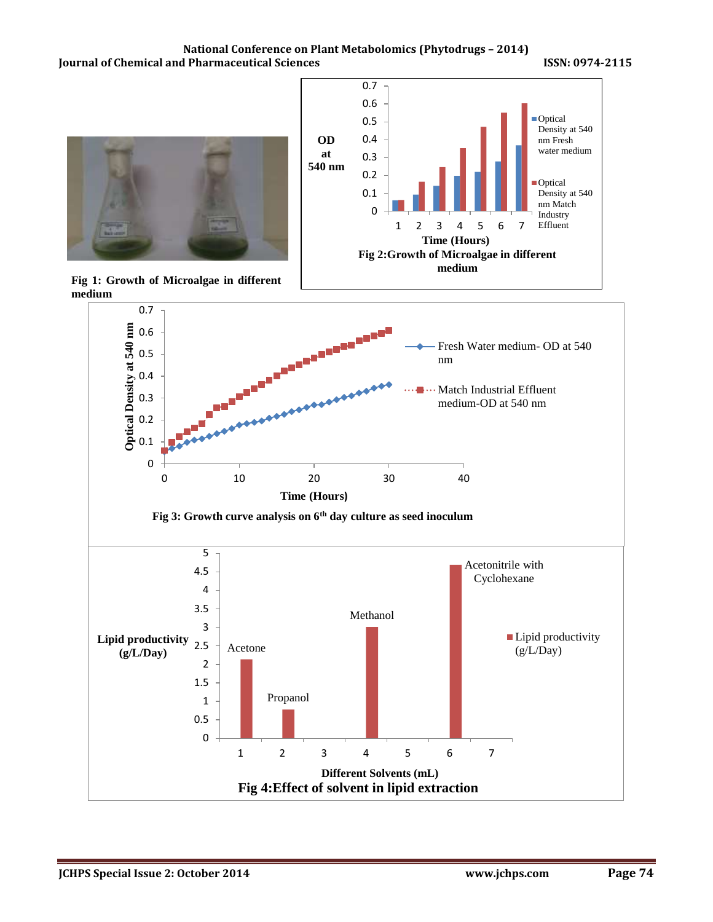



**Fig 1: Growth of Microalgae in different medium**

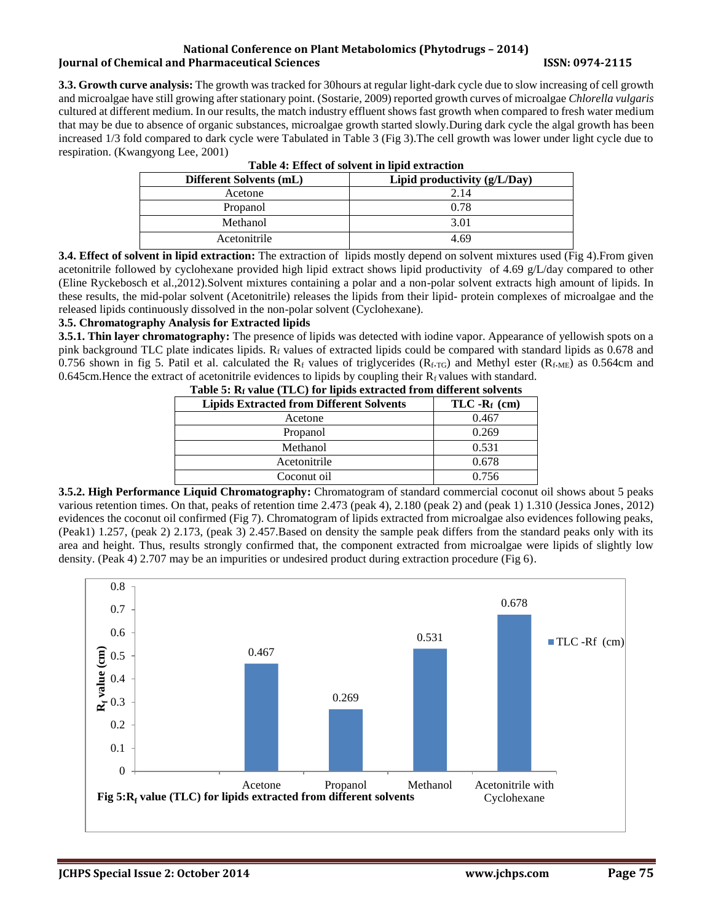#### **National Conference on Plant Metabolomics (Phytodrugs – 2014) Iournal of Chemical and Pharmaceutical Sciences ISSN: 0974-2115**

**3.3. Growth curve analysis:** The growth was tracked for 30hours at regular light-dark cycle due to slow increasing of cell growth and microalgae have still growing after stationary point. (Sostarie, 2009) reported growth curves of microalgae *Chlorella vulgaris* cultured at different medium. In our results, the match industry effluent shows fast growth when compared to fresh water medium that may be due to absence of organic substances, microalgae growth started slowly.During dark cycle the algal growth has been increased 1/3 fold compared to dark cycle were Tabulated in Table 3 (Fig 3).The cell growth was lower under light cycle due to respiration. (Kwangyong Lee, 2001)

| Table 4. Effect of solvent in fight extraction |                                |  |
|------------------------------------------------|--------------------------------|--|
| Different Solvents (mL)                        | Lipid productivity $(g/L/Day)$ |  |
| Acetone                                        | 2.14                           |  |
| Propanol                                       | 0.78                           |  |
| Methanol                                       | 3.01                           |  |
| Acetonitrile                                   | 4.69                           |  |

|  | Table 4: Effect of solvent in lipid extraction |  |  |
|--|------------------------------------------------|--|--|

**3.4. Effect of solvent in lipid extraction:** The extraction of lipids mostly depend on solvent mixtures used (Fig 4).From given acetonitrile followed by cyclohexane provided high lipid extract shows lipid productivity of 4.69 g/L/day compared to other (Eline Ryckebosch et al.,2012).Solvent mixtures containing a polar and a non-polar solvent extracts high amount of lipids. In these results, the mid-polar solvent (Acetonitrile) releases the lipids from their lipid- protein complexes of microalgae and the released lipids continuously dissolved in the non-polar solvent (Cyclohexane).

# **3.5. Chromatography Analysis for Extracted lipids**

**3.5.1. Thin layer chromatography:** The presence of lipids was detected with iodine vapor. Appearance of yellowish spots on a pink background TLC plate indicates lipids. R<sub>f</sub> values of extracted lipids could be compared with standard lipids as 0.678 and 0.756 shown in fig 5. Patil et al. calculated the R<sub>f</sub> values of triglycerides ( $R_{f, TG}$ ) and Methyl ester ( $R_{f, ME}$ ) as 0.564cm and 0.645cm. Hence the extract of acetonitrile evidences to lipids by coupling their  $R_f$  values with standard.

| <b>Lipids Extracted from Different Solvents</b> | $TLC - R_f$ (cm) |  |  |
|-------------------------------------------------|------------------|--|--|
| Acetone                                         | 0.467            |  |  |
| Propanol                                        | 0.269            |  |  |
| Methanol                                        | 0.531            |  |  |
| Acetonitrile                                    | 0.678            |  |  |
| Coconut oil                                     | 0.756            |  |  |

**3.5.2. High Performance Liquid Chromatography:** Chromatogram of standard commercial coconut oil shows about 5 peaks various retention times. On that, peaks of retention time 2.473 (peak 4), 2.180 (peak 2) and (peak 1) 1.310 (Jessica Jones, 2012) evidences the coconut oil confirmed (Fig 7). Chromatogram of lipids extracted from microalgae also evidences following peaks, (Peak1) 1.257, (peak 2) 2.173, (peak 3) 2.457.Based on density the sample peak differs from the standard peaks only with its area and height. Thus, results strongly confirmed that, the component extracted from microalgae were lipids of slightly low density. (Peak 4) 2.707 may be an impurities or undesired product during extraction procedure (Fig 6).

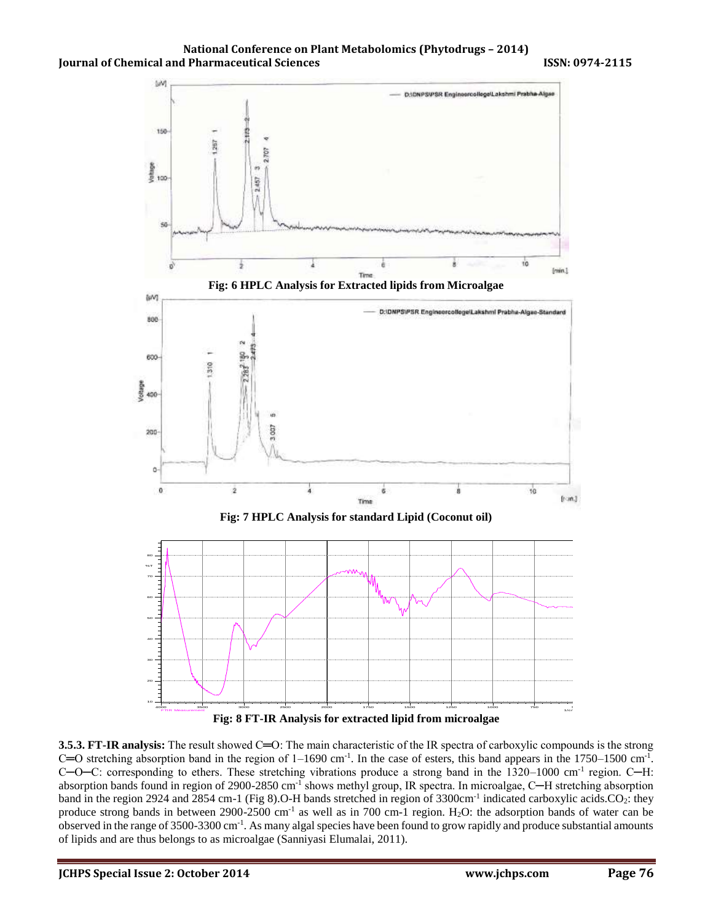**National Conference on Plant Metabolomics (Phytodrugs – 2014) Journal of Chemical and Pharmaceutical Sciences ISSN: 0974-2115** 



**3.5.3. FT-IR analysis:** The result showed C=O: The main characteristic of the IR spectra of carboxylic compounds is the strong  $C=O$  stretching absorption band in the region of  $1-1690$  cm<sup>-1</sup>. In the case of esters, this band appears in the 1750–1500 cm<sup>-1</sup>. C—O—C: corresponding to ethers. These stretching vibrations produce a strong band in the 1320–1000 cm<sup>-1</sup> region. C—H: absorption bands found in region of 2900-2850 cm<sup>-1</sup> shows methyl group, IR spectra. In microalgae, C—H stretching absorption band in the region 2924 and 2854 cm-1 (Fig 8).O-H bands stretched in region of 3300cm<sup>-1</sup> indicated carboxylic acids.CO<sub>2</sub>: they produce strong bands in between 2900-2500 cm<sup>-1</sup> as well as in 700 cm-1 region. H<sub>2</sub>O: the adsorption bands of water can be observed in the range of 3500-3300 cm<sup>-1</sup>. As many algal species have been found to grow rapidly and produce substantial amounts of lipids and are thus belongs to as microalgae (Sanniyasi Elumalai, 2011).